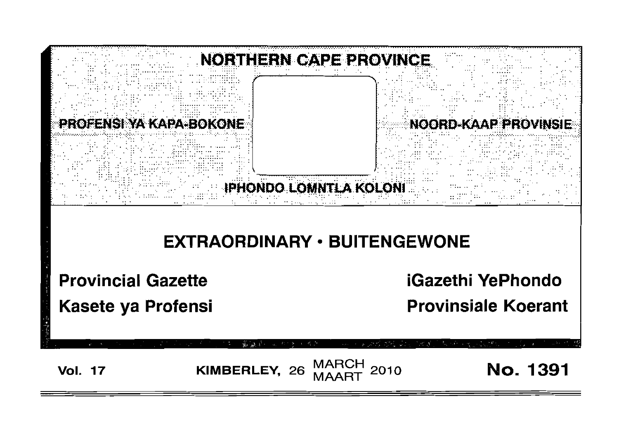

**Vol. 17** 

**MARCH** KIMBERLEY, 26 2010

**No. 1391**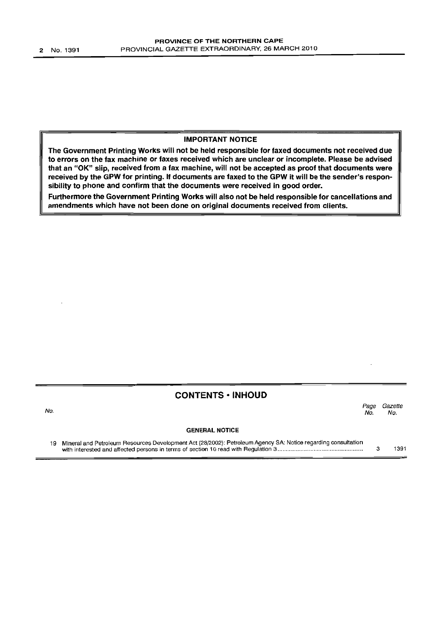## IMPORTANT NOTICE

The Government Printing Works will not be held responsible for faxed documents not received due to errors on the fax machine or faxes received which are unclear or incomplete. Please be advised that an "OK" slip, received from a fax machine, will not be accepted as proof that documents were received by the GPW for printing. If documents are faxed to the GPW it will be the sender's responsibility to phone and confirm that the documents were received in good order.

Furthermore the Government Printing Works will also not be held responsible for cancellations and amendments which have not been done on original documents received from clients.

## CONTENTS • INHOUD

No. Page Gazette<br>No. No. No. No.

## GENERAL NOTICE

19 Mineral and Petroleum Resources Development Act (28/2002): Petroleum Agency SA: Notice regarding consultation with interested and affected persons in terms of section 10 read with Regulation 3 . 3 1391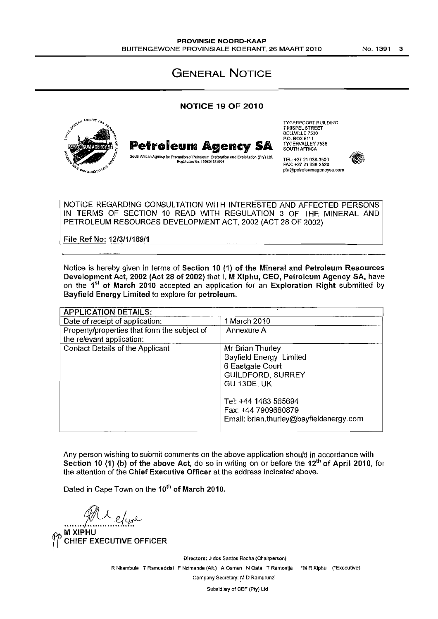GENERAL NOTICE

## NOTICE 19 OF 2010



NOTICE REGARDING CONSULTATION WITH INTERESTED AND AFFECTED PERSONS IN TERMS OF SECTION 10 READ WITH REGULATION 3 OF THE MINERAL AND PETROLEUM RESOURCES DEVELOPMENT ACT, 2002 (ACT 28 OF 2002)

File Ref No: 12/3/1/189/1

Notice is hereby given in terms of Section 10 (1) of the Mineral and Petroleum Resources Development Act, 2002 (Act 28 of 2002) that I, M Xiphu, CEO, Petroleum Agency SA, have on the 1<sup>st</sup> of March 2010 accepted an application for an Exploration Right submitted by Bayfield Energy Limited to explore for petroleum.

| <b>APPLICATION DETAILS:</b>                  |                                         |
|----------------------------------------------|-----------------------------------------|
| Date of receipt of application:              | 1 March 2010                            |
| Property/properties that form the subject of | Annexure A                              |
| the relevant application:                    |                                         |
| Contact Details of the Applicant             | Mr Brian Thurley                        |
|                                              | Bayfield Energy Limited                 |
|                                              | 6 Eastgate Court                        |
|                                              | GUILDFORD, SURREY                       |
|                                              | GU 13DE, UK                             |
|                                              |                                         |
|                                              | Tel: +44 1483 565694                    |
|                                              | Fax: +44 7909680879                     |
|                                              | Email: brian.thurley@bayfieldenergy.com |
|                                              |                                         |

Any person wishing to submit comments on the above application should in accordance with Section 10 (1) (b) of the above Act, do so in writing on or before the  $12<sup>th</sup>$  of April 2010, for the attention of the Chief Executive Officer at the address indicated above.

Dated in Cape Town on the 10<sup>th</sup> of March 2010.

 $\mathscr{W}$   $\ell$   $\ell$ 

**CHIEF EXECUTIVE OFFICER** 

Directors: J dos Santos Rocha (Chairperson) R Nkambule T Ramuedzisl F Nzimande (Alt.) A Osman N Qata T Ramonlja 'M R Xiphu ('Executive) Company Secretary: M D Ramurunzi

Subsidiary of CEF (Pty) Ltd